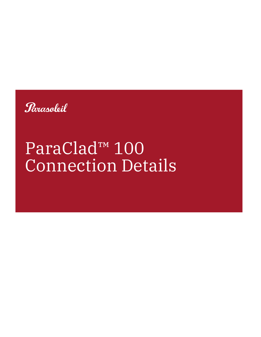

## ParaClad™ 100 Connection Details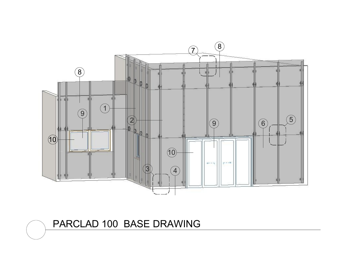

## PARCLAD 100 BASE DRAWING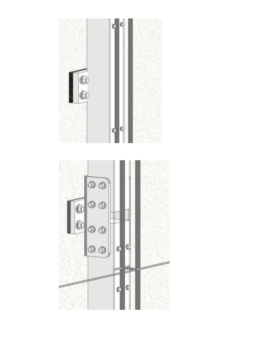

C

d

6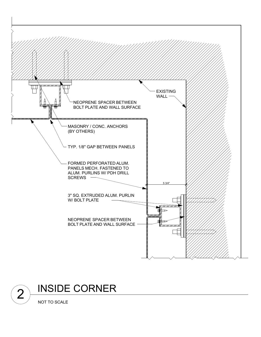

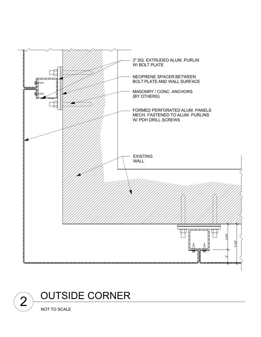

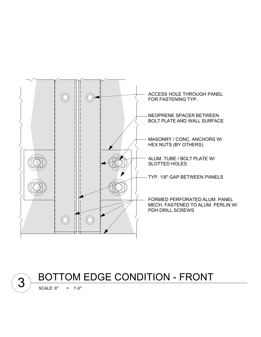

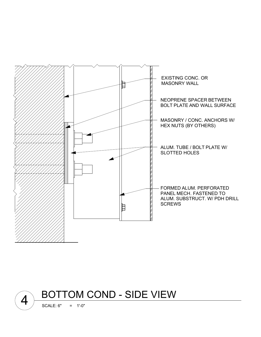

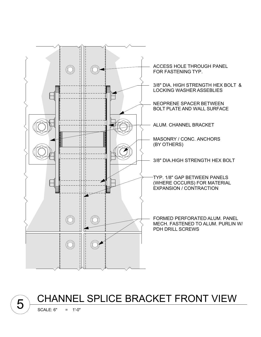

 $5$   $\frac{$   $\sqrt{11}$   $\sqrt{11}$   $\sqrt{11}$   $\sqrt{11}$   $\sqrt{11}$   $\sqrt{11}$   $\sqrt{11}$   $\sqrt{11}$   $\sqrt{11}$   $\sqrt{11}$   $\sqrt{11}$   $\sqrt{11}$   $\sqrt{11}$   $\sqrt{11}$   $\sqrt{11}$   $\sqrt{11}$   $\sqrt{11}$   $\sqrt{11}$   $\sqrt{11}$   $\sqrt{11}$   $\sqrt{11}$   $\sqrt{11}$   $\sqrt{11}$   $\sqrt{$ CHANNEL SPLICE BRACKET FRONT VIEW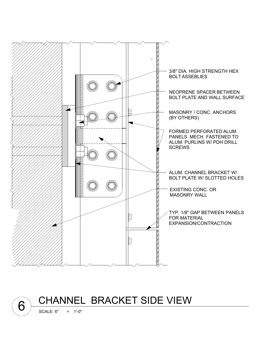

 $6 \bigg)$  CHAININE CHANNEL BRACKET SIDE VIEW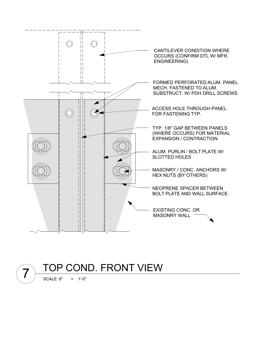

## $7) \frac{IUP UIV}{SCALE: 6" = 1:-0"}$ TOP COND. FRONT VIEW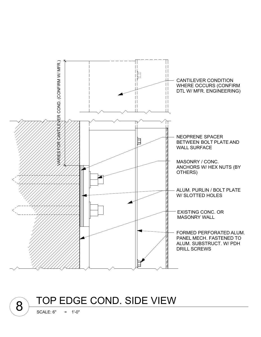

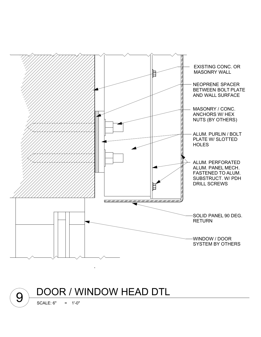

 $9) \frac{1000R/V}{\text{scale: } 6"}$ DOOR / WINDOW HEAD DTL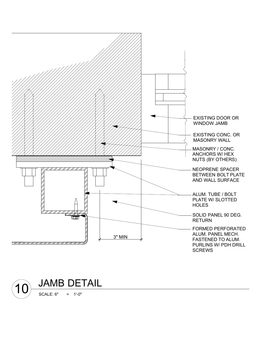